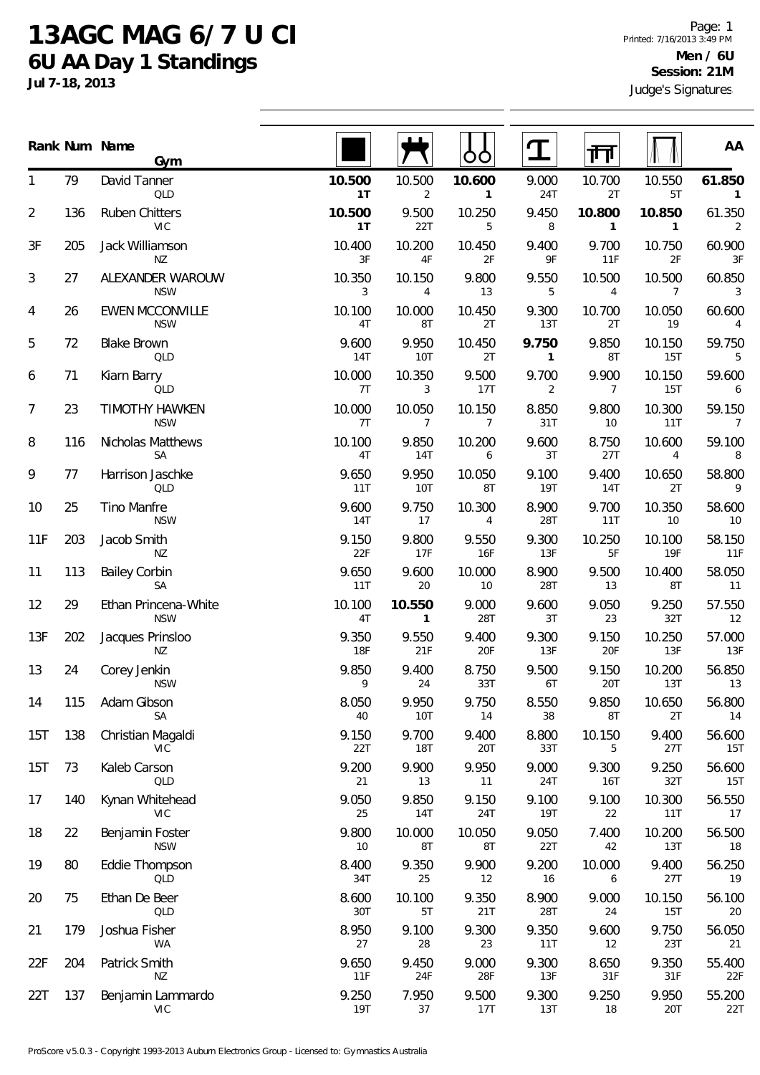## **13AGC MAG 6/7 U CI 6U AA Day 1 Standings**

**Jul 7-18, 2013**

|                |     | Rank Num Name<br>Gym                 |                     |                          | OO                       |                         | ╓╖                       |                          | AA                       |
|----------------|-----|--------------------------------------|---------------------|--------------------------|--------------------------|-------------------------|--------------------------|--------------------------|--------------------------|
| 1              | 79  | David Tanner<br>QLD                  | 10.500<br>1T        | 10.500<br>2              | 10.600<br>$\mathbf{1}$   | 9.000<br>24T            | 10.700<br>2T             | 10.550<br>5T             | 61.850<br>$\mathbf{1}$   |
| $\overline{2}$ | 136 | <b>Ruben Chitters</b><br><b>VIC</b>  | 10.500<br>1T        | 9.500<br>22T             | 10.250<br>5              | 9.450<br>8              | 10.800<br>$\mathbf{1}$   | 10.850<br>$\mathbf{1}$   | 61.350<br>2              |
| 3F             | 205 | Jack Williamson<br>ΝZ                | 10.400<br>3F        | 10.200<br>4F             | 10.450<br>2F             | 9.400<br>9F             | 9.700<br>11F             | 10.750<br>2F             | 60.900<br>3F             |
| 3              | 27  | ALEXANDER WAROUW<br><b>NSW</b>       | 10.350<br>3         | 10.150<br>4              | 9.800<br>13              | 9.550<br>5              | 10.500<br>$\overline{4}$ | 10.500<br>$\overline{7}$ | 60.850<br>3              |
| 4              | 26  | <b>EWEN MCCONVILLE</b><br><b>NSW</b> | 10.100<br>4T        | 10.000<br>8T             | 10.450<br>2T             | 9.300<br>13T            | 10.700<br>2T             | 10.050<br>19             | 60.600<br>$\overline{4}$ |
| 5              | 72  | <b>Blake Brown</b><br>QLD            | 9.600<br>14T        | 9.950<br><b>10T</b>      | 10.450<br>2T             | 9.750<br>$\mathbf{1}$   | 9.850<br>8T              | 10.150<br>15T            | 59.750<br>5              |
| 6              | 71  | Kiarn Barry<br>QLD                   | 10.000<br>7T        | 10.350<br>3              | 9.500<br>17T             | 9.700<br>$\overline{2}$ | 9.900<br>$\overline{7}$  | 10.150<br>15T            | 59.600<br>6              |
| 7              | 23  | <b>TIMOTHY HAWKEN</b><br><b>NSW</b>  | 10.000<br>7T        | 10.050<br>$\overline{7}$ | 10.150<br>$\overline{7}$ | 8.850<br>31T            | 9.800<br>10              | 10.300<br>11T            | 59.150<br>$\overline{7}$ |
| 8              | 116 | Nicholas Matthews<br>SA              | 10.100<br>4T        | 9.850<br>14T             | 10.200<br>6              | 9.600<br>3T             | 8.750<br>27T             | 10.600<br>4              | 59.100<br>8              |
| 9              | 77  | Harrison Jaschke<br>QLD              | 9.650<br>11T        | 9.950<br>10T             | 10.050<br>8T             | 9.100<br><b>19T</b>     | 9.400<br><b>14T</b>      | 10.650<br>2T             | 58.800<br>9              |
| 10             | 25  | Tino Manfre<br><b>NSW</b>            | 9.600<br>14T        | 9.750<br>17              | 10.300<br>$\overline{4}$ | 8.900<br>28T            | 9.700<br>11T             | 10.350<br>10             | 58.600<br>10             |
| 11F            | 203 | Jacob Smith<br>ΝZ                    | 9.150<br>22F        | 9.800<br>17F             | 9.550<br>16F             | 9.300<br>13F            | 10.250<br>5F             | 10.100<br>19F            | 58.150<br>11F            |
| 11             | 113 | <b>Bailey Corbin</b><br><b>SA</b>    | 9.650<br>11T        | 9.600<br>20              | 10.000<br>10             | 8.900<br>28T            | 9.500<br>13              | 10.400<br>8T             | 58.050<br>11             |
| 12             | 29  | Ethan Princena-White<br><b>NSW</b>   | 10.100<br>4T        | 10.550<br>$\mathbf{1}$   | 9.000<br>28T             | 9.600<br>3T             | 9.050<br>23              | 9.250<br>32T             | 57.550<br>12             |
| 13F            | 202 | Jacques Prinsloo<br>ΝZ               | 9.350<br><b>18F</b> | 9.550<br>21F             | 9.400<br>20F             | 9.300<br>13F            | 9.150<br>20F             | 10.250<br>13F            | 57.000<br>13F            |
| 13             | 24  | Corey Jenkin<br><b>NSW</b>           | 9.850<br>9          | 9.400<br>24              | 8.750<br>33T             | 9.500<br>6T             | 9.150<br>20T             | 10.200<br>13T            | 56.850<br>13             |
| 14             | 115 | Adam Gibson<br>SA                    | 8.050<br>40         | 9.950<br>10T             | 9.750<br>14              | 8.550<br>38             | 9.850<br>8T              | 10.650<br>2T             | 56.800<br>14             |
| 15T            | 138 | Christian Magaldi<br>VIC             | 9.150<br>22T        | 9.700<br><b>18T</b>      | 9.400<br>20T             | 8.800<br>33T            | 10.150<br>5              | 9.400<br>27T             | 56.600<br>15T            |
| 15T            | 73  | Kaleb Carson<br>QLD                  | 9.200<br>21         | 9.900<br>13              | 9.950<br>11              | 9.000<br>24T            | 9.300<br>16T             | 9.250<br>32T             | 56.600<br>15T            |
| 17             | 140 | Kynan Whitehead<br>VIC               | 9.050<br>25         | 9.850<br>14T             | 9.150<br>24T             | 9.100<br><b>19T</b>     | 9.100<br>22              | 10.300<br>11T            | 56.550<br>17             |
| 18             | 22  | Benjamin Foster<br><b>NSW</b>        | 9.800<br>10         | 10.000<br>8T             | 10.050<br>8T             | 9.050<br>22T            | 7.400<br>42              | 10.200<br>13T            | 56.500<br>18             |
| 19             | 80  | Eddie Thompson<br>QLD                | 8.400<br>34T        | 9.350<br>25              | 9.900<br>12              | 9.200<br>16             | 10.000<br>6              | 9.400<br>27T             | 56.250<br>19             |
| 20             | 75  | Ethan De Beer<br>QLD                 | 8.600<br>30T        | 10.100<br>5T             | 9.350<br>21T             | 8.900<br>28T            | 9.000<br>24              | 10.150<br>15T            | 56.100<br>20             |
| 21             | 179 | Joshua Fisher<br>WA                  | 8.950<br>27         | 9.100<br>28              | 9.300<br>23              | 9.350<br>11T            | 9.600<br>12              | 9.750<br>23T             | 56.050<br>21             |
| 22F            | 204 | Patrick Smith<br><b>NZ</b>           | 9.650<br>11F        | 9.450<br>24F             | 9.000<br>28F             | 9.300<br>13F            | 8.650<br>31F             | 9.350<br>31F             | 55.400<br>22F            |
| 22T            | 137 | Benjamin Lammardo<br><b>VIC</b>      | 9.250<br>19T        | 7.950<br>37              | 9.500<br>17T             | 9.300<br>13T            | 9.250<br>18              | 9.950<br>20T             | 55.200<br>22T            |